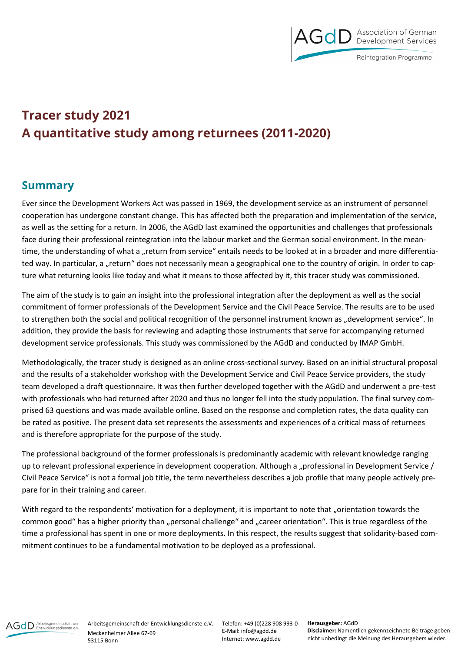

## **Tracer study 2021 A quantitative study among returnees (2011-2020)**

## **Summary**

Ever since the Development Workers Act was passed in 1969, the development service as an instrument of personnel cooperation has undergone constant change. This has affected both the preparation and implementation of the service, as well as the setting for a return. In 2006, the AGdD last examined the opportunities and challenges that professionals face during their professional reintegration into the labour market and the German social environment. In the meantime, the understanding of what a "return from service" entails needs to be looked at in a broader and more differentiated way. In particular, a "return" does not necessarily mean a geographical one to the country of origin. In order to capture what returning looks like today and what it means to those affected by it, this tracer study was commissioned.

The aim of the study is to gain an insight into the professional integration after the deployment as well as the social commitment of former professionals of the Development Service and the Civil Peace Service. The results are to be used to strengthen both the social and political recognition of the personnel instrument known as "development service". In addition, they provide the basis for reviewing and adapting those instruments that serve for accompanying returned development service professionals. This study was commissioned by the AGdD and conducted by IMAP GmbH.

Methodologically, the tracer study is designed as an online cross-sectional survey. Based on an initial structural proposal and the results of a stakeholder workshop with the Development Service and Civil Peace Service providers, the study team developed a draft questionnaire. It was then further developed together with the AGdD and underwent a pre-test with professionals who had returned after 2020 and thus no longer fell into the study population. The final survey comprised 63 questions and was made available online. Based on the response and completion rates, the data quality can be rated as positive. The present data set represents the assessments and experiences of a critical mass of returnees and is therefore appropriate for the purpose of the study.

The professional background of the former professionals is predominantly academic with relevant knowledge ranging up to relevant professional experience in development cooperation. Although a "professional in Development Service / Civil Peace Service" is not a formal job title, the term nevertheless describes a job profile that many people actively prepare for in their training and career.

With regard to the respondents' motivation for a deployment, it is important to note that "orientation towards the common good" has a higher priority than "personal challenge" and "career orientation". This is true regardless of the time a professional has spent in one or more deployments. In this respect, the results suggest that solidarity-based commitment continues to be a fundamental motivation to be deployed as a professional.



Arbeitsgemeinschaft der Entwicklungsdienste e.V. Meckenheimer Allee 67-69 53115 Bonn

Telefon: +49 (0)228 908 993-0 E-Mail: info@agdd.de Internet: www.agdd.de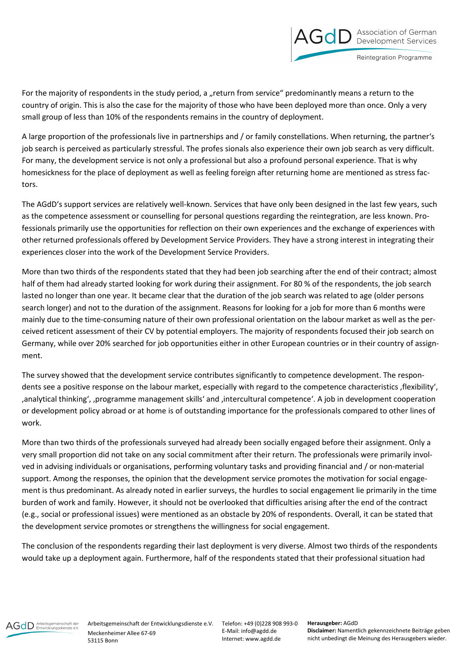

Reintegration Programme

For the majority of respondents in the study period, a "return from service" predominantly means a return to the country of origin. This is also the case for the majority of those who have been deployed more than once. Only a very small group of less than 10% of the respondents remains in the country of deployment.

A large proportion of the professionals live in partnerships and / or family constellations. When returning, the partner's job search is perceived as particularly stressful. The profes sionals also experience their own job search as very difficult. For many, the development service is not only a professional but also a profound personal experience. That is why homesickness for the place of deployment as well as feeling foreign after returning home are mentioned as stress factors.

The AGdD's support services are relatively well-known. Services that have only been designed in the last few years, such as the competence assessment or counselling for personal questions regarding the reintegration, are less known. Professionals primarily use the opportunities for reflection on their own experiences and the exchange of experiences with other returned professionals offered by Development Service Providers. They have a strong interest in integrating their experiences closer into the work of the Development Service Providers.

More than two thirds of the respondents stated that they had been job searching after the end of their contract; almost half of them had already started looking for work during their assignment. For 80 % of the respondents, the job search lasted no longer than one year. It became clear that the duration of the job search was related to age (older persons search longer) and not to the duration of the assignment. Reasons for looking for a job for more than 6 months were mainly due to the time-consuming nature of their own professional orientation on the labour market as well as the perceived reticent assessment of their CV by potential employers. The majority of respondents focused their job search on Germany, while over 20% searched for job opportunities either in other European countries or in their country of assignment.

The survey showed that the development service contributes significantly to competence development. The respondents see a positive response on the labour market, especially with regard to the competence characteristics ,flexibility', 'analytical thinking', 'programme management skills' and 'intercultural competence'. A job in development cooperation or development policy abroad or at home is of outstanding importance for the professionals compared to other lines of work.

More than two thirds of the professionals surveyed had already been socially engaged before their assignment. Only a very small proportion did not take on any social commitment after their return. The professionals were primarily involved in advising individuals or organisations, performing voluntary tasks and providing financial and / or non-material support. Among the responses, the opinion that the development service promotes the motivation for social engagement is thus predominant. As already noted in earlier surveys, the hurdles to social engagement lie primarily in the time burden of work and family. However, it should not be overlooked that difficulties arising after the end of the contract (e.g., social or professional issues) were mentioned as an obstacle by 20% of respondents. Overall, it can be stated that the development service promotes or strengthens the willingness for social engagement.

The conclusion of the respondents regarding their last deployment is very diverse. Almost two thirds of the respondents would take up a deployment again. Furthermore, half of the respondents stated that their professional situation had



Telefon: +49 (0)228 908 993-0 E-Mail: info@agdd.de Internet: www.agdd.de